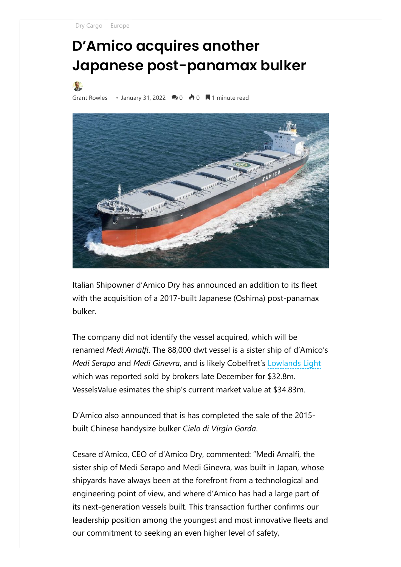[Dry Cargo](https://splash247.com/category/sector/dry-cargo/) [Europe](https://splash247.com/category/region/europe/)

## **D'Amico acquires another Japanese post-panamax bulker**

[Grant Rowles](https://splash247.com/author/grantr/) • January 31, 2022  $\rightarrow 0$   $\rightarrow 0$   $\rightarrow$  1 minute read



Italian Shipowner d'Amico Dry has announced an addition to its fleet with the acquisition of a 2017-built Japanese (Oshima) post-panamax bulker.

The company did not identify the vessel acquired, which will be renamed *Medi Amalfi*. The 88,000 dwt vessel is a sister ship of d'Amico's *Medi Serapo* and *Medi Ginevra*, and is likely Cobelfret's Lowlands Light which was reported sold by brokers late December for \$32.8m. VesselsValue esimates the ship's current market value at \$34.83m.

D'Amico also announced that is has completed the sale of the 2015 built Chinese handysize bulker *Cielo di Virgin Gorda*.

Cesare d'Amico, CEO of d'Amico Dry, commented: "Medi Amalfi, the sister ship of Medi Serapo and Medi Ginevra, was built in Japan, whose shipyards have always been at the forefront from a technological and engineering point of view, and where d'Amico has had a large part of its next-generation vessels built. This transaction further confirms our leadership position among the youngest and most innovative fleets and our commitment to seeking an even higher level of safety,